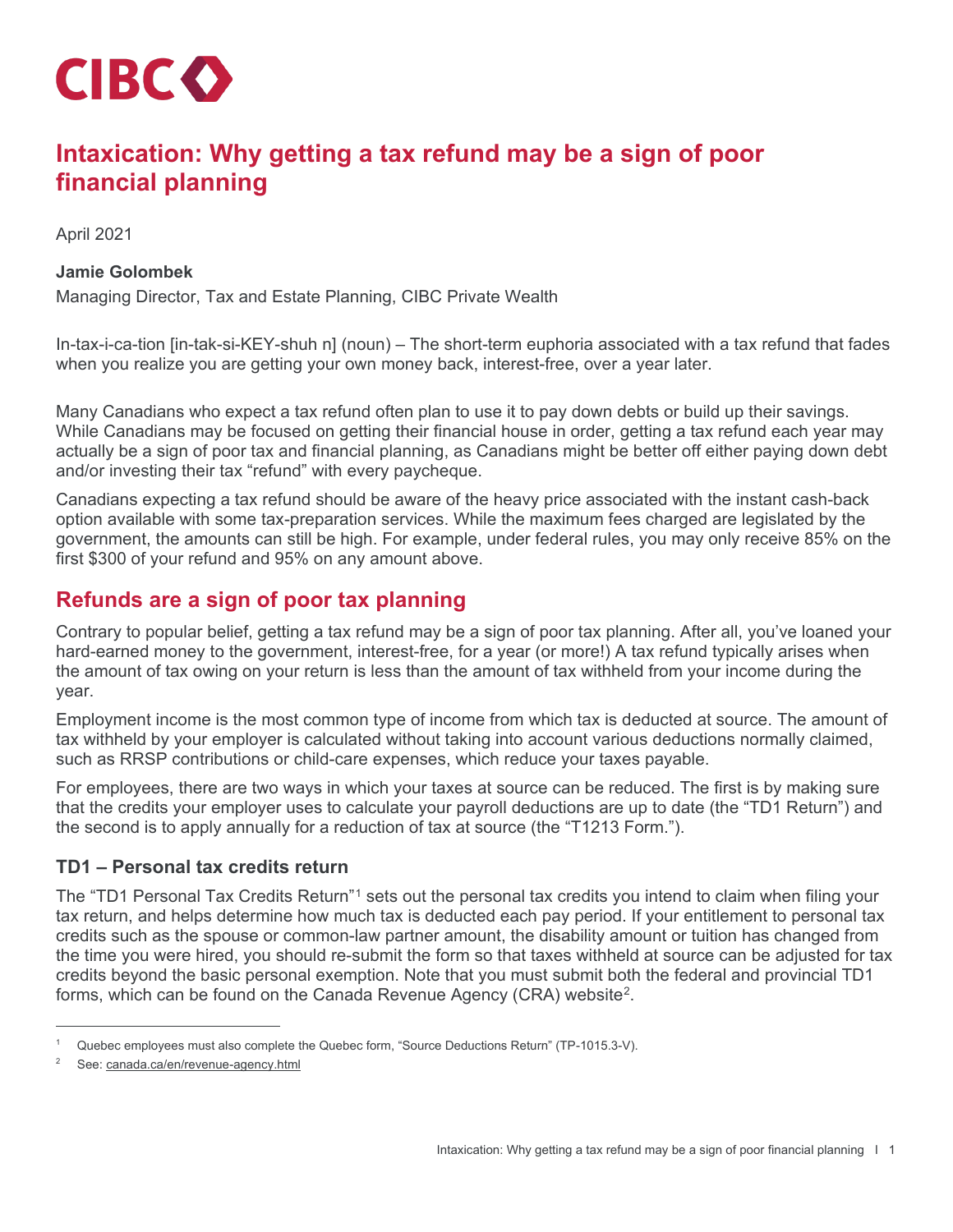

# **Intaxication: Why getting a tax refund may be a sign of poor financial planning**

April 2021

#### **Jamie Golombek**

Managing Director, Tax and Estate Planning, CIBC Private Wealth

In-tax-i-ca-tion [in-tak-si-KEY-shuh n] (noun) – The short-term euphoria associated with a tax refund that fades when you realize you are getting your own money back, interest-free, over a year later.

Many Canadians who expect a tax refund often plan to use it to pay down debts or build up their savings. While Canadians may be focused on getting their financial house in order, getting a tax refund each year may actually be a sign of poor tax and financial planning, as Canadians might be better off either paying down debt and/or investing their tax "refund" with every paycheque.

Canadians expecting a tax refund should be aware of the heavy price associated with the instant cash-back option available with some tax-preparation services. While the maximum fees charged are legislated by the government, the amounts can still be high. For example, under federal rules, you may only receive 85% on the first \$300 of your refund and 95% on any amount above.

## **Refunds are a sign of poor tax planning**

Contrary to popular belief, getting a tax refund may be a sign of poor tax planning. After all, you've loaned your hard-earned money to the government, interest-free, for a year (or more!) A tax refund typically arises when the amount of tax owing on your return is less than the amount of tax withheld from your income during the year.

Employment income is the most common type of income from which tax is deducted at source. The amount of tax withheld by your employer is calculated without taking into account various deductions normally claimed, such as RRSP contributions or child-care expenses, which reduce your taxes payable.

For employees, there are two ways in which your taxes at source can be reduced. The first is by making sure that the credits your employer uses to calculate your payroll deductions are up to date (the "TD1 Return") and the second is to apply annually for a reduction of tax at source (the "T1213 Form.").

### **TD1 – Personal tax credits return**

The "TD1 Personal Tax Credits Return"[1](#page-0-0) sets out the personal tax credits you intend to claim when filing your tax return, and helps determine how much tax is deducted each pay period. If your entitlement to personal tax credits such as the spouse or common-law partner amount, the disability amount or tuition has changed from the time you were hired, you should re-submit the form so that taxes withheld at source can be adjusted for tax credits beyond the basic personal exemption. Note that you must submit both the federal and provincial TD1 forms, which can be found on the Canada Revenue Agency (CRA) website<sup>2</sup>.

<span id="page-0-0"></span>Quebec employees must also complete the Quebec form, "Source Deductions Return" (TP-1015.3-V).

<span id="page-0-1"></span><sup>2</sup> See[: canada.ca/en/revenue-agency.html](https://www.canada.ca/en/revenue-agency.html)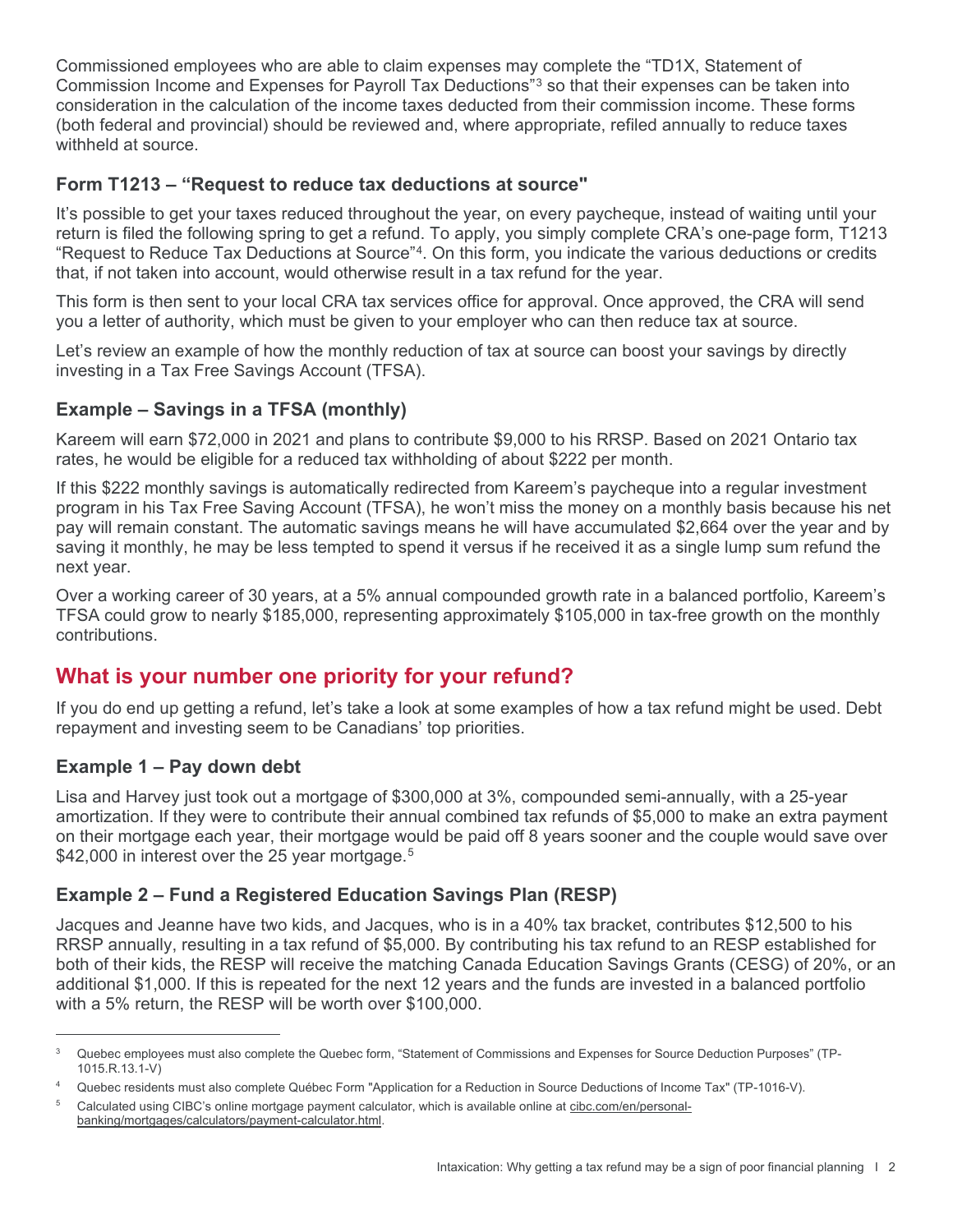Commissioned employees who are able to claim expenses may complete the "TD1X, Statement of Commission Income and Expenses for Payroll Tax Deductions"[3](#page-1-0) so that their expenses can be taken into consideration in the calculation of the income taxes deducted from their commission income. These forms (both federal and provincial) should be reviewed and, where appropriate, refiled annually to reduce taxes withheld at source.

### **Form T1213 – "Request to reduce tax deductions at source"**

It's possible to get your taxes reduced throughout the year, on every paycheque, instead of waiting until your return is filed the following spring to get a refund. To apply, you simply complete CRA's one-page form, T1213 "Request to Reduce Tax Deductions at Source"[4.](#page-1-1) On this form, you indicate the various deductions or credits that, if not taken into account, would otherwise result in a tax refund for the year.

This form is then sent to your local CRA tax services office for approval. Once approved, the CRA will send you a letter of authority, which must be given to your employer who can then reduce tax at source.

Let's review an example of how the monthly reduction of tax at source can boost your savings by directly investing in a Tax Free Savings Account (TFSA).

### **Example – Savings in a TFSA (monthly)**

Kareem will earn \$72,000 in 2021 and plans to contribute \$9,000 to his RRSP. Based on 2021 Ontario tax rates, he would be eligible for a reduced tax withholding of about \$222 per month.

If this \$222 monthly savings is automatically redirected from Kareem's paycheque into a regular investment program in his Tax Free Saving Account (TFSA), he won't miss the money on a monthly basis because his net pay will remain constant. The automatic savings means he will have accumulated \$2,664 over the year and by saving it monthly, he may be less tempted to spend it versus if he received it as a single lump sum refund the next year.

Over a working career of 30 years, at a 5% annual compounded growth rate in a balanced portfolio, Kareem's TFSA could grow to nearly \$185,000, representing approximately \$105,000 in tax-free growth on the monthly contributions.

### **What is your number one priority for your refund?**

If you do end up getting a refund, let's take a look at some examples of how a tax refund might be used. Debt repayment and investing seem to be Canadians' top priorities.

#### **Example 1 – Pay down debt**

Lisa and Harvey just took out a mortgage of \$300,000 at 3%, compounded semi-annually, with a 25-year amortization. If they were to contribute their annual combined tax refunds of \$5,000 to make an extra payment on their mortgage each year, their mortgage would be paid off 8 years sooner and the couple would save over \$42,000 in interest over the 2[5](#page-1-2) year mortgage.<sup>5</sup>

### **Example 2 – Fund a Registered Education Savings Plan (RESP)**

Jacques and Jeanne have two kids, and Jacques, who is in a 40% tax bracket, contributes \$12,500 to his RRSP annually, resulting in a tax refund of \$5,000. By contributing his tax refund to an RESP established for both of their kids, the RESP will receive the matching Canada Education Savings Grants (CESG) of 20%, or an additional \$1,000. If this is repeated for the next 12 years and the funds are invested in a balanced portfolio with a 5% return, the RESP will be worth over \$100,000.

<span id="page-1-0"></span><sup>3</sup> Quebec employees must also complete the Quebec form, "Statement of Commissions and Expenses for Source Deduction Purposes" (TP-1015.R.13.1-V)

<span id="page-1-1"></span>Quebec residents must also complete Québec Form "Application for a Reduction in Source Deductions of Income Tax" (TP-1016-V).

<span id="page-1-2"></span><sup>5</sup> Calculated using CIBC's online mortgage payment calculator, which is available online at [cibc.com/en/personal](https://www.cibc.com/en/personal-banking/mortgages/calculators/payment-calculator.html)[banking/mortgages/calculators/payment-calculator.html.](https://www.cibc.com/en/personal-banking/mortgages/calculators/payment-calculator.html)